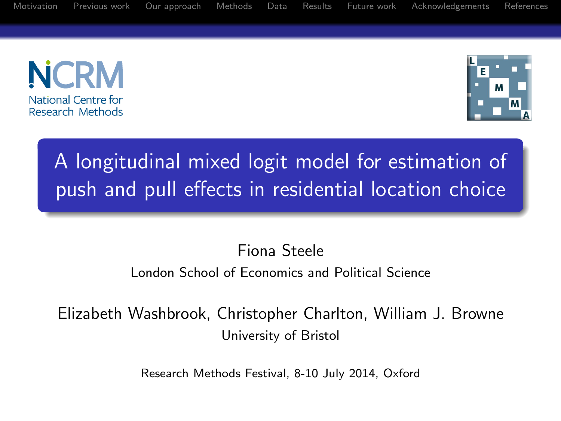[Motivation](#page-1-0) [Previous work](#page-3-0) [Our approach](#page-5-0) [Methods](#page-6-0) [Data](#page-13-0) [Results](#page-14-0) [Future work](#page-20-0) [Acknowledgements](#page-21-0) [References](#page-22-0)





# A longitudinal mixed logit model for estimation of push and pull effects in residential location choice

#### Fiona Steele London School of Economics and Political Science

Elizabeth Washbrook, Christopher Charlton, William J. Browne University of Bristol

Research Methods Festival, 8-10 July 2014, Oxford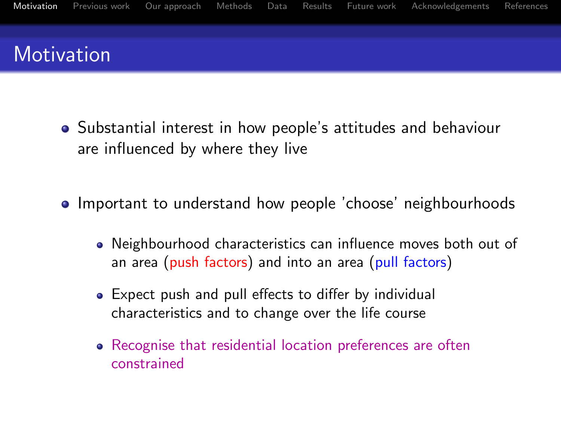

- Substantial interest in how people's attitudes and behaviour are influenced by where they live
- <span id="page-1-0"></span>• Important to understand how people 'choose' neighbourhoods
	- Neighbourhood characteristics can influence moves both out of an area (push factors) and into an area (pull factors)
	- Expect push and pull effects to differ by individual characteristics and to change over the life course
	- Recognise that residential location preferences are often constrained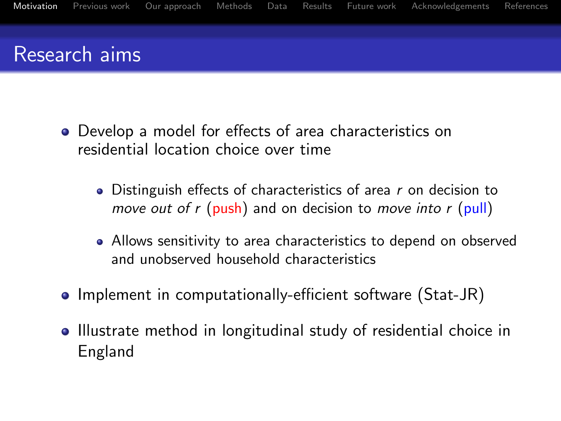

- Develop a model for effects of area characteristics on residential location choice over time
	- $\bullet$  Distinguish effects of characteristics of area r on decision to move out of  $r$  (push) and on decision to move into  $r$  (pull)
	- Allows sensitivity to area characteristics to depend on observed and unobserved household characteristics
- Implement in computationally-efficient software (Stat-JR)
- Illustrate method in longitudinal study of residential choice in England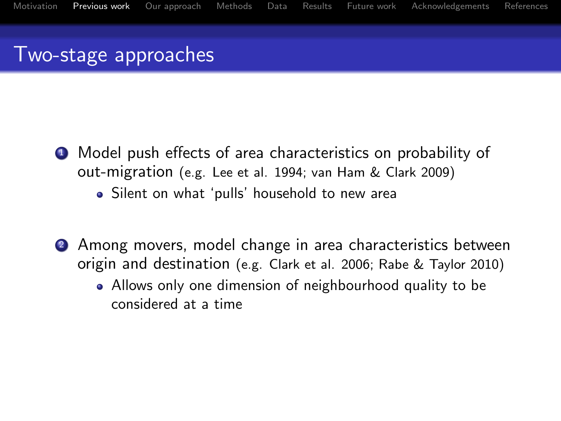### Two-stage approaches

- <sup>1</sup> Model push effects of area characteristics on probability of out-migration (e.g. Lee et al. 1994; van Ham & Clark 2009)
	- Silent on what 'pulls' household to new area
- <span id="page-3-0"></span><sup>2</sup> Among movers, model change in area characteristics between origin and destination (e.g. Clark et al. 2006; Rabe & Taylor 2010)
	- Allows only one dimension of neighbourhood quality to be considered at a time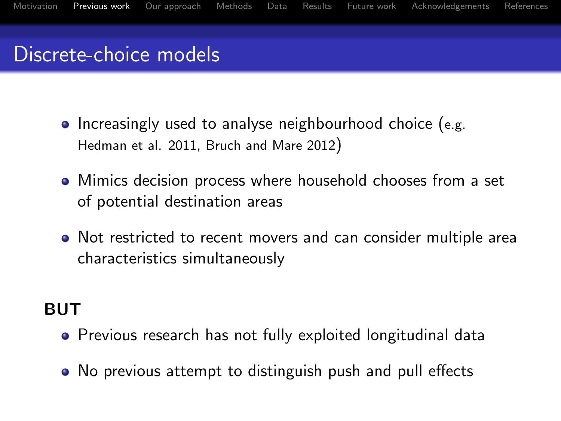

- $\bullet$  Increasingly used to analyse neighbourhood choice (e.g. Hedman et al. 2011, Bruch and Mare 2012)
- Mimics decision process where household chooses from a set of potential destination areas
- Not restricted to recent movers and can consider multiple area characteristics simultaneously

#### BUT

- Previous research has not fully exploited longitudinal data
- No previous attempt to distinguish push and pull effects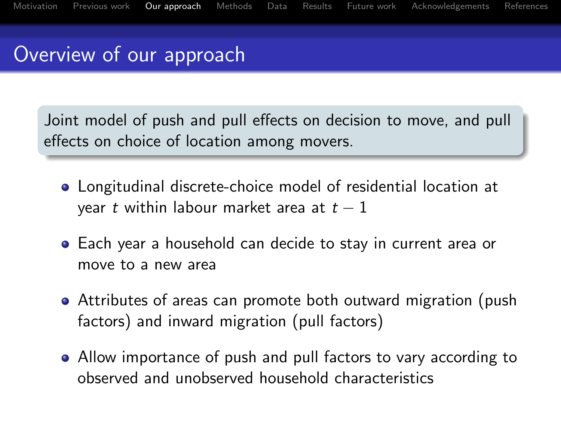## Overview of our approach

Joint model of push and pull effects on decision to move, and pull effects on choice of location among movers.

- Longitudinal discrete-choice model of residential location at year t within labour market area at  $t - 1$
- Each year a household can decide to stay in current area or move to a new area
- Attributes of areas can promote both outward migration (push factors) and inward migration (pull factors)
- <span id="page-5-0"></span>Allow importance of push and pull factors to vary according to observed and unobserved household characteristics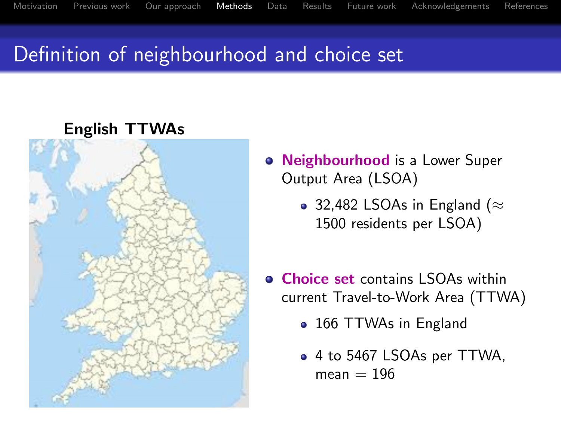## Definition of neighbourhood and choice set

<span id="page-6-0"></span>

**• Neighbourhood** is a Lower Super Output Area (LSOA)

- 32,482 LSOAs in England ( $\approx$ 1500 residents per LSOA)
- **Choice set contains LSOAs within** current Travel-to-Work Area (TTWA)
	- 166 TTWAs in England
	- 4 to 5467 LSOAs per TTWA,  $mean = 196$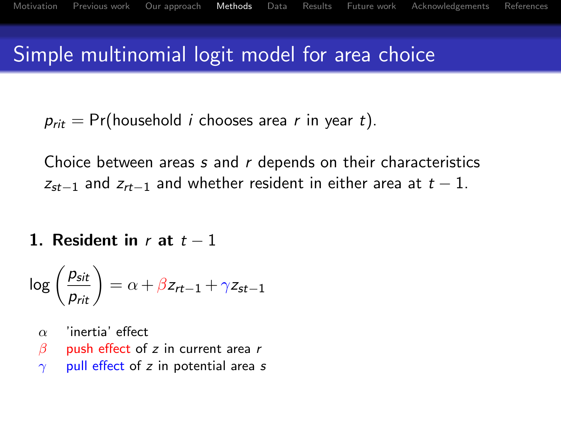## Simple multinomial logit model for area choice

 $p_{\text{rit}} = \Pr(\text{household } i \text{ chooses area } r \text{ in year } t).$ 

Choice between areas s and r depends on their characteristics  $z_{st-1}$  and  $z_{rt-1}$  and whether resident in either area at  $t-1$ .

1. Resident in r at  $t-1$ 

$$
\log\left(\frac{p_{\textit{sit}}}{p_{\textit{rit}}}\right) = \alpha + \beta z_{\textit{rt}-1} + \gamma z_{\textit{st}-1}
$$

- $\alpha$  'inertia' effect
- $\beta$  push effect of z in current area r
- $\gamma$  pull effect of z in potential area s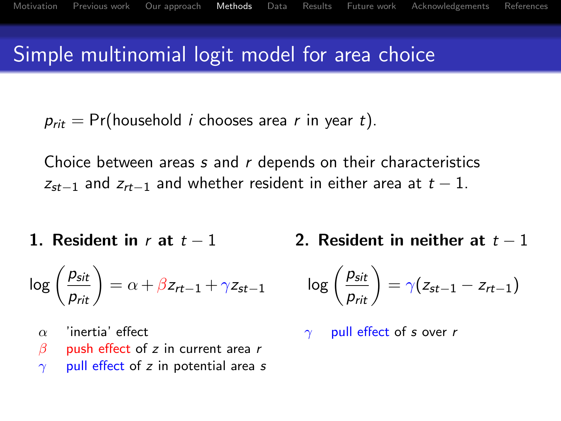## Simple multinomial logit model for area choice

 $p_{\text{rit}} = \Pr(\text{household } i \text{ chooses area } r \text{ in year } t).$ 

Choice between areas s and r depends on their characteristics  $z_{st-1}$  and  $z_{rt-1}$  and whether resident in either area at  $t-1$ .

1. Resident in r at  $t-1$ 

$$
\log\left(\frac{p_{sit}}{p_{rit}}\right) = \alpha + \beta z_{rt-1} + \gamma z_{st-1}
$$

- $\alpha$  'inertia' effect
- $\beta$  push effect of z in current area r
- $\gamma$  pull effect of z in potential area s

2. Resident in neither at  $t-1$ 

$$
\text{log}\left(\frac{p_{sit}}{p_{rit}}\right) = \gamma(z_{st-1} - z_{rt-1})
$$

$$
\gamma \quad \text{pull effect of } s \text{ over } r
$$

$$
?.\ \ \textbf{Resident in neither at}\ \ t-
$$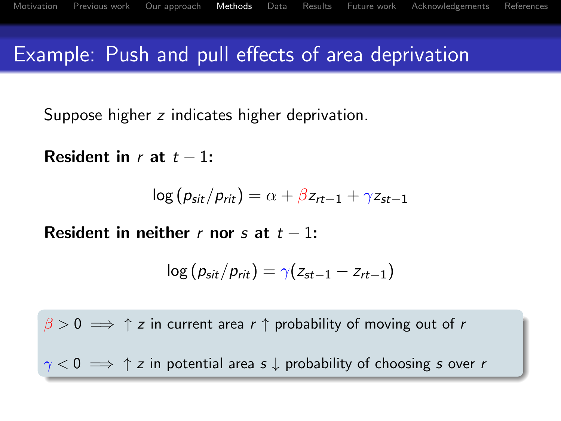## Example: Push and pull effects of area deprivation

Suppose higher z indicates higher deprivation.

Resident in r at  $t - 1$ :

$$
\log (p_{sit}/p_{rit}) = \alpha + \beta z_{rt-1} + \gamma z_{st-1}
$$

Resident in neither r nor s at  $t - 1$ :

$$
\log (p_{sit}/p_{rit}) = \gamma (z_{st-1} - z_{rt-1})
$$

 $\beta > 0 \implies \uparrow z$  in current area r  $\uparrow$  probability of moving out of r

 $\gamma$  < 0  $\implies$   $\uparrow$  z in potential area s  $\downarrow$  probability of choosing s over r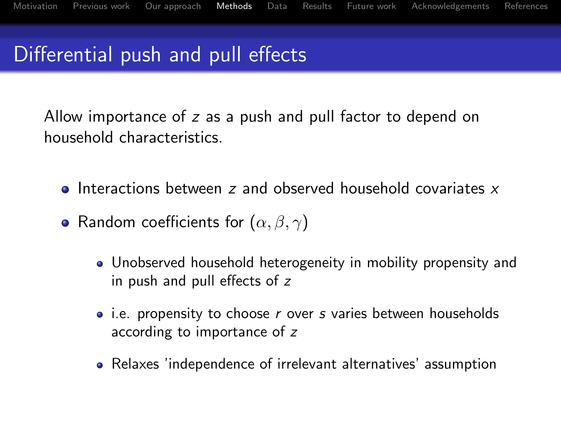## Differential push and pull effects

Allow importance of z as a push and pull factor to depend on household characteristics.

- $\bullet$  Interactions between z and observed household covariates x
- Random coefficients for  $(\alpha, \beta, \gamma)$ 
	- Unobserved household heterogeneity in mobility propensity and in push and pull effects of z
	- $\bullet$  i.e. propensity to choose r over s varies between households according to importance of z
	- Relaxes 'independence of irrelevant alternatives' assumption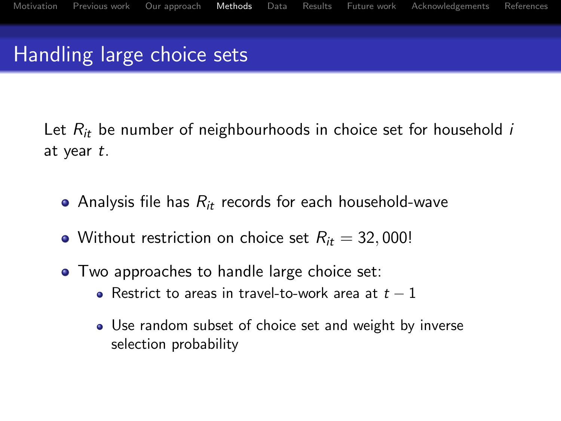Handling large choice sets

Let  $R_{it}$  be number of neighbourhoods in choice set for household i at year t.

- Analysis file has  $R_{it}$  records for each household-wave
- Without restriction on choice set  $R_{it} = 32,000!$
- Two approaches to handle large choice set:
	- Restrict to areas in travel-to-work area at  $t 1$
	- Use random subset of choice set and weight by inverse selection probability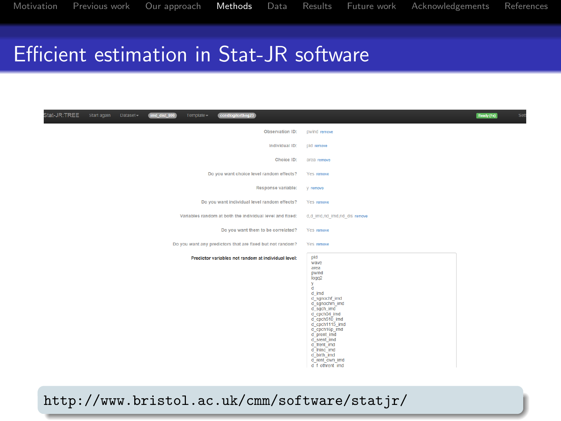## Efficient estimation in Stat-JR software

| Stat-JR:TREE<br>Start again   Dataset -<br>Template -<br>condiogitorthog23<br>imd_dist_800 |                                                                                                                                                                                                                                                                                               | Set<br>Ready (1s) |
|--------------------------------------------------------------------------------------------|-----------------------------------------------------------------------------------------------------------------------------------------------------------------------------------------------------------------------------------------------------------------------------------------------|-------------------|
| Observation ID:                                                                            | pwind remove                                                                                                                                                                                                                                                                                  |                   |
| Individual ID:                                                                             | pld remove                                                                                                                                                                                                                                                                                    |                   |
| Choice ID:                                                                                 | area remove                                                                                                                                                                                                                                                                                   |                   |
| Do you want choice level random effects?                                                   | Yes remove                                                                                                                                                                                                                                                                                    |                   |
| Response variable:                                                                         | V remove                                                                                                                                                                                                                                                                                      |                   |
| Do you want individual level random effects?                                               | Yes remove                                                                                                                                                                                                                                                                                    |                   |
| Variables random at both the individual level and fixed:                                   | d.d imd.nd imd.nd dis remove                                                                                                                                                                                                                                                                  |                   |
| Do you want them to be correlated?                                                         | Yes remove                                                                                                                                                                                                                                                                                    |                   |
| Do you want any predictors that are fixed but not random?                                  | Yes remove                                                                                                                                                                                                                                                                                    |                   |
| Predictor variables not random at individual level:                                        | pid<br>wave<br>area<br>pwind<br>logg2<br>v<br>a.<br>d imd<br>d_sgnochf_imd<br>d sgnochm imd<br>d sgch imd<br>d_cpch04_imd<br>d_cpch510_imd<br>d cpch1115 imd<br>d coch16p imd<br>d_prent_imd<br>d srent imd<br>d frent imd<br>d Ininc imd<br>d birth imd<br>d rent own Imd<br>d f othrent imd |                   |

<http://www.bristol.ac.uk/cmm/software/statjr/>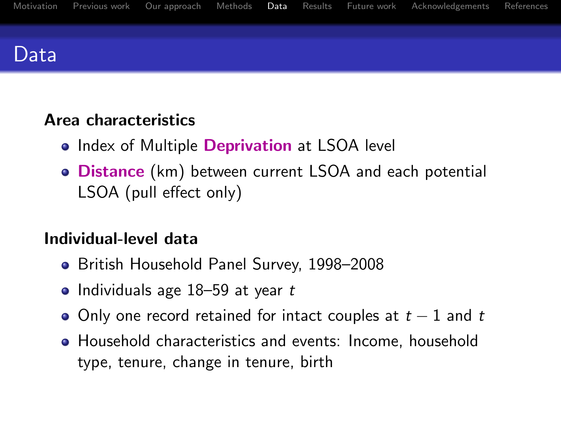

#### Area characteristics

- Index of Multiple Deprivation at LSOA level
- Distance (km) between current LSOA and each potential LSOA (pull effect only)

#### Individual-level data

- British Household Panel Survey, 1998–2008
- Individuals age  $18-59$  at year  $t$
- $\bullet$  Only one record retained for intact couples at  $t-1$  and  $t$
- <span id="page-13-0"></span>Household characteristics and events: Income, household type, tenure, change in tenure, birth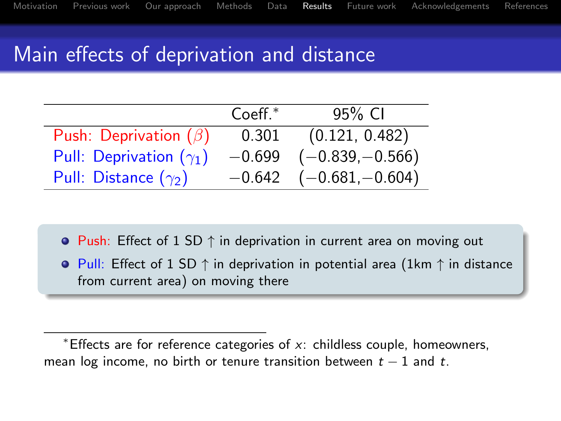## Main effects of deprivation and distance

|                                | $Coeff.*$ | 95% CI            |
|--------------------------------|-----------|-------------------|
| Push: Deprivation $(\beta)$    | 0.301     | (0.121, 0.482)    |
| Pull: Deprivation $(\gamma_1)$ | $-0.699$  | $(-0.839,-0.566)$ |
| Pull: Distance $(\gamma_2)$    | $-0.642$  | $(-0.681,-0.604)$ |

• Push: Effect of 1 SD  $\uparrow$  in deprivation in current area on moving out

 $\bullet$  Pull: Effect of 1 SD  $\uparrow$  in deprivation in potential area (1km  $\uparrow$  in distance from current area) on moving there

<span id="page-14-0"></span><sup>\*</sup>Effects are for reference categories of  $x$ : childless couple, homeowners, mean log income, no birth or tenure transition between  $t - 1$  and t.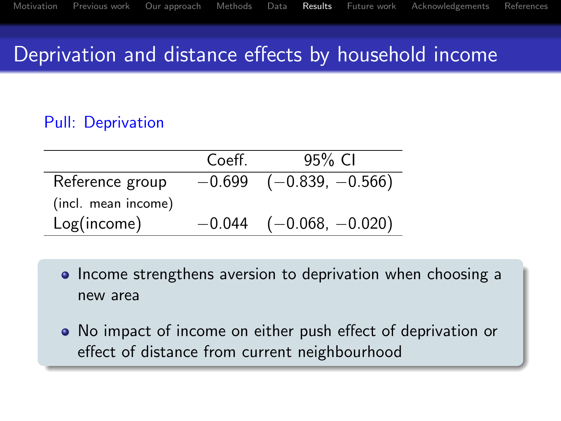## Deprivation and distance effects by household income

#### Pull: Deprivation

|                     | Coeff.   | 95% CI             |
|---------------------|----------|--------------------|
| Reference group     | $-0.699$ | $(-0.839, -0.566)$ |
| (incl. mean income) |          |                    |
| Log(income)         | $-0.044$ | $(-0.068, -0.020)$ |

- Income strengthens aversion to deprivation when choosing a new area
- No impact of income on either push effect of deprivation or effect of distance from current neighbourhood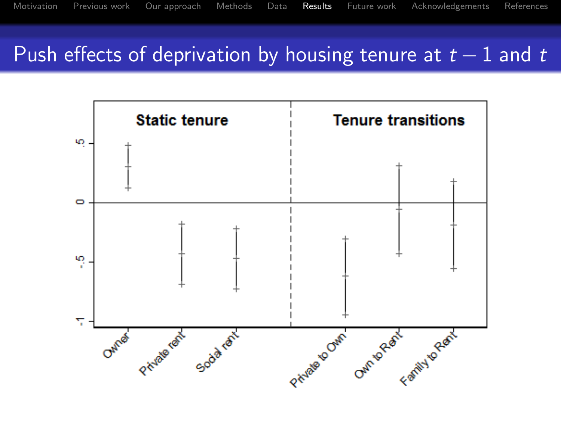### Push effects of deprivation by housing tenure at  $t-1$  and t

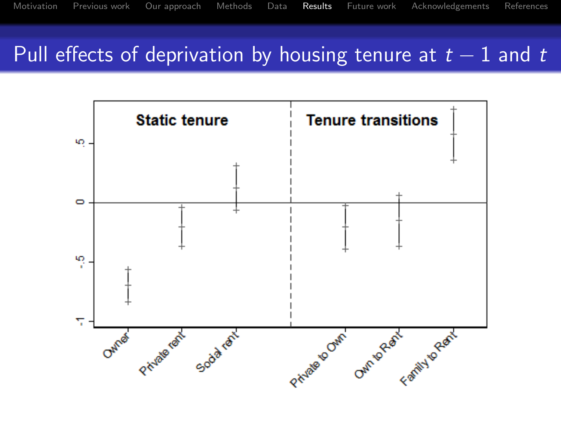### Pull effects of deprivation by housing tenure at  $t-1$  and t

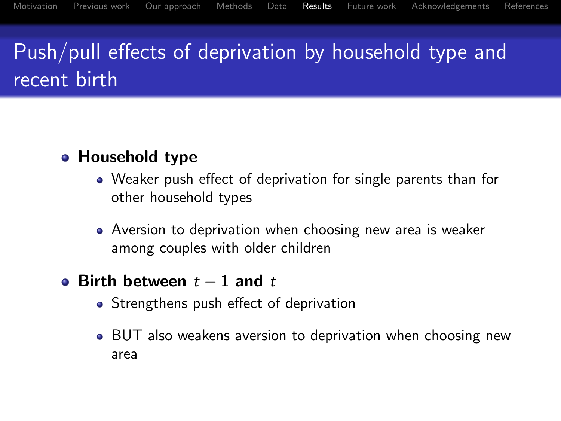# Push/pull effects of deprivation by household type and recent birth

#### • Household type

- Weaker push effect of deprivation for single parents than for other household types
- Aversion to deprivation when choosing new area is weaker among couples with older children
- Birth between  $t 1$  and  $t$ 
	- Strengthens push effect of deprivation
	- BUT also weakens aversion to deprivation when choosing new area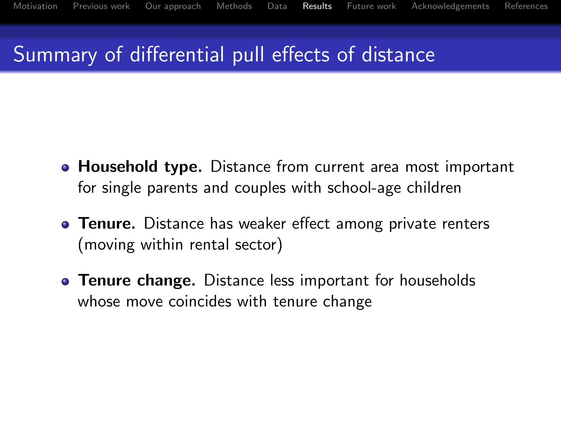## Summary of differential pull effects of distance

- **Household type.** Distance from current area most important for single parents and couples with school-age children
- **Tenure.** Distance has weaker effect among private renters (moving within rental sector)
- **Tenure change.** Distance less important for households whose move coincides with tenure change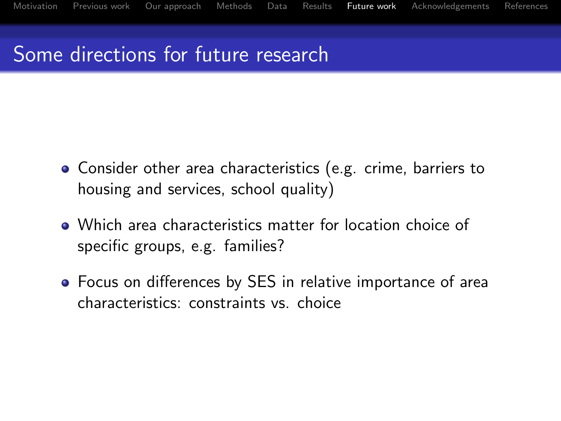[Motivation](#page-1-0) [Previous work](#page-3-0) [Our approach](#page-5-0) [Methods](#page-6-0) [Data](#page-13-0) [Results](#page-14-0) [Future work](#page-20-0) [Acknowledgements](#page-21-0) [References](#page-22-0)

## Some directions for future research

- Consider other area characteristics (e.g. crime, barriers to housing and services, school quality)
- Which area characteristics matter for location choice of specific groups, e.g. families?
- <span id="page-20-0"></span>Focus on differences by SES in relative importance of area characteristics: constraints vs. choice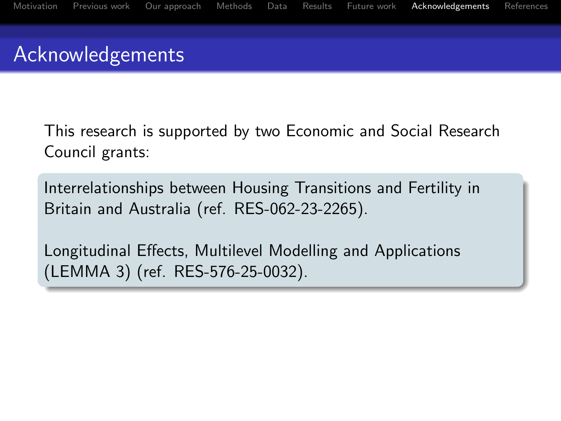## Acknowledgements

This research is supported by two Economic and Social Research Council grants:

Interrelationships between Housing Transitions and Fertility in Britain and Australia (ref. RES-062-23-2265).

<span id="page-21-0"></span>Longitudinal Effects, Multilevel Modelling and Applications (LEMMA 3) (ref. RES-576-25-0032).